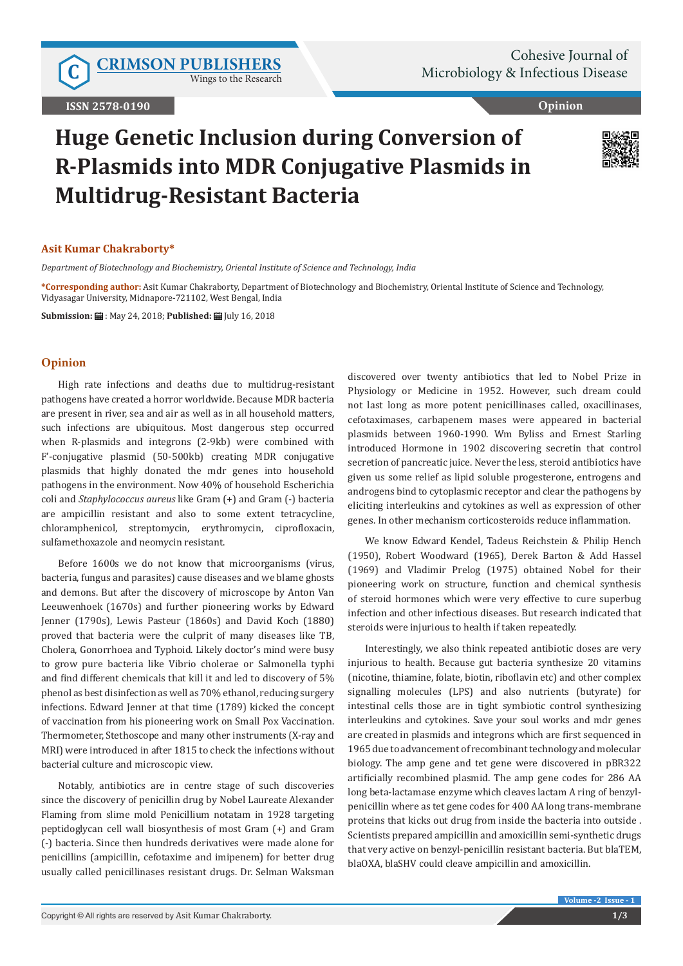Wings to the Research

**Opinion**

# **Huge Genetic Inclusion during Conversion of R-Plasmids into MDR Conjugative Plasmids in Multidrug-Resistant Bacteria**



## **Asit Kumar Chakraborty\***

*Department of Biotechnology and Biochemistry, Oriental Institute of Science and Technology, India*

**\*Corresponding author:** Asit Kumar Chakraborty, Department of Biotechnology and Biochemistry, Oriental Institute of Science and Technology, Vidyasagar University, Midnapore-721102, West Bengal, India

**Submission:** : May 24, 2018; **Published:** July 16, 2018

#### **Opinion**

High rate infections and deaths due to multidrug-resistant pathogens have created a horror worldwide. Because MDR bacteria are present in river, sea and air as well as in all household matters, such infections are ubiquitous. Most dangerous step occurred when R-plasmids and integrons (2-9kb) were combined with F'-conjugative plasmid (50-500kb) creating MDR conjugative plasmids that highly donated the mdr genes into household pathogens in the environment. Now 40% of household Escherichia coli and *Staphylococcus aureus* like Gram (+) and Gram (-) bacteria are ampicillin resistant and also to some extent tetracycline, chloramphenicol, streptomycin, erythromycin, ciprofloxacin, sulfamethoxazole and neomycin resistant.

Before 1600s we do not know that microorganisms (virus, bacteria, fungus and parasites) cause diseases and we blame ghosts and demons. But after the discovery of microscope by Anton Van Leeuwenhoek (1670s) and further pioneering works by Edward Jenner (1790s), Lewis Pasteur (1860s) and David Koch (1880) proved that bacteria were the culprit of many diseases like TB, Cholera, Gonorrhoea and Typhoid. Likely doctor's mind were busy to grow pure bacteria like Vibrio cholerae or Salmonella typhi and find different chemicals that kill it and led to discovery of 5% phenol as best disinfection as well as 70% ethanol, reducing surgery infections. Edward Jenner at that time (1789) kicked the concept of vaccination from his pioneering work on Small Pox Vaccination. Thermometer, Stethoscope and many other instruments (X-ray and MRI) were introduced in after 1815 to check the infections without bacterial culture and microscopic view.

Notably, antibiotics are in centre stage of such discoveries since the discovery of penicillin drug by Nobel Laureate Alexander Flaming from slime mold Penicillium notatam in 1928 targeting peptidoglycan cell wall biosynthesis of most Gram (+) and Gram (-) bacteria. Since then hundreds derivatives were made alone for penicillins (ampicillin, cefotaxime and imipenem) for better drug usually called penicillinases resistant drugs. Dr. Selman Waksman

discovered over twenty antibiotics that led to Nobel Prize in Physiology or Medicine in 1952. However, such dream could not last long as more potent penicillinases called, oxacillinases, cefotaximases, carbapenem mases were appeared in bacterial plasmids between 1960-1990. Wm Byliss and Ernest Starling introduced Hormone in 1902 discovering secretin that control secretion of pancreatic juice. Never the less, steroid antibiotics have given us some relief as lipid soluble progesterone, entrogens and androgens bind to cytoplasmic receptor and clear the pathogens by eliciting interleukins and cytokines as well as expression of other genes. In other mechanism corticosteroids reduce inflammation.

We know Edward Kendel, Tadeus Reichstein & Philip Hench (1950), Robert Woodward (1965), Derek Barton & Add Hassel (1969) and Vladimir Prelog (1975) obtained Nobel for their pioneering work on structure, function and chemical synthesis of steroid hormones which were very effective to cure superbug infection and other infectious diseases. But research indicated that steroids were injurious to health if taken repeatedly.

Interestingly, we also think repeated antibiotic doses are very injurious to health. Because gut bacteria synthesize 20 vitamins (nicotine, thiamine, folate, biotin, riboflavin etc) and other complex signalling molecules (LPS) and also nutrients (butyrate) for intestinal cells those are in tight symbiotic control synthesizing interleukins and cytokines. Save your soul works and mdr genes are created in plasmids and integrons which are first sequenced in 1965 due to advancement of recombinant technology and molecular biology. The amp gene and tet gene were discovered in pBR322 artificially recombined plasmid. The amp gene codes for 286 AA long beta-lactamase enzyme which cleaves lactam A ring of benzylpenicillin where as tet gene codes for 400 AA long trans-membrane proteins that kicks out drug from inside the bacteria into outside . Scientists prepared ampicillin and amoxicillin semi-synthetic drugs that very active on benzyl-penicillin resistant bacteria. But blaTEM, blaOXA, blaSHV could cleave ampicillin and amoxicillin.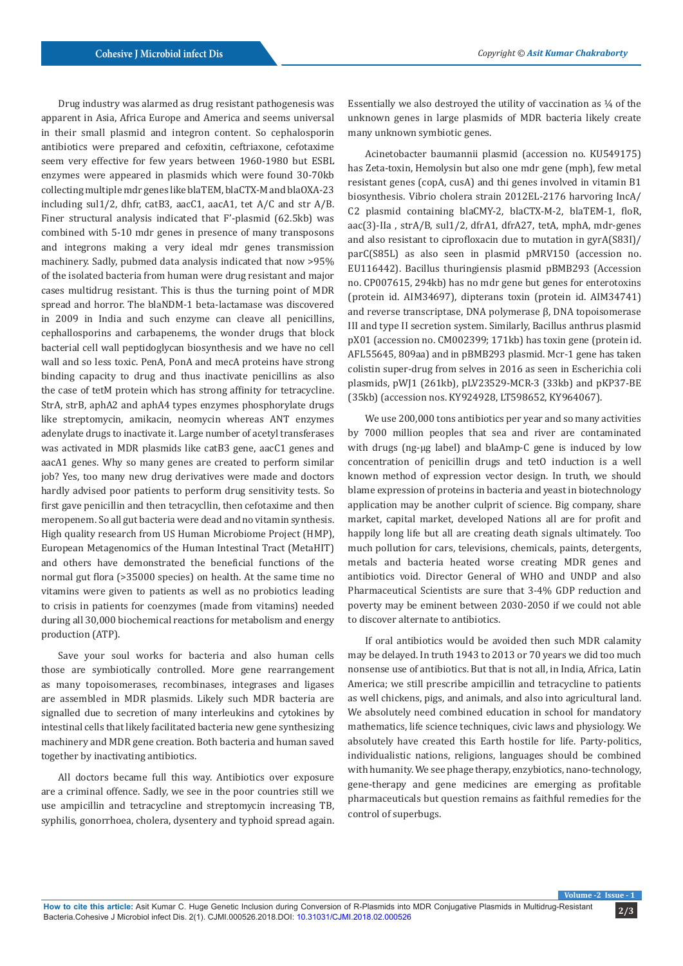Drug industry was alarmed as drug resistant pathogenesis was apparent in Asia, Africa Europe and America and seems universal in their small plasmid and integron content. So cephalosporin antibiotics were prepared and cefoxitin, ceftriaxone, cefotaxime seem very effective for few years between 1960-1980 but ESBL enzymes were appeared in plasmids which were found 30-70kb collecting multiple mdr genes like blaTEM, blaCTX-M and blaOXA-23 including sul1/2, dhfr, catB3, aacC1, aacA1, tet A/C and str A/B. Finer structural analysis indicated that F'-plasmid (62.5kb) was combined with 5-10 mdr genes in presence of many transposons and integrons making a very ideal mdr genes transmission machinery. Sadly, pubmed data analysis indicated that now >95% of the isolated bacteria from human were drug resistant and major cases multidrug resistant. This is thus the turning point of MDR spread and horror. The blaNDM-1 beta-lactamase was discovered in 2009 in India and such enzyme can cleave all penicillins, cephallosporins and carbapenems, the wonder drugs that block bacterial cell wall peptidoglycan biosynthesis and we have no cell wall and so less toxic. PenA, PonA and mecA proteins have strong binding capacity to drug and thus inactivate penicillins as also the case of tetM protein which has strong affinity for tetracycline. StrA, strB, aphA2 and aphA4 types enzymes phosphorylate drugs like streptomycin, amikacin, neomycin whereas ANT enzymes adenylate drugs to inactivate it. Large number of acetyl transferases was activated in MDR plasmids like catB3 gene, aacC1 genes and aacA1 genes. Why so many genes are created to perform similar job? Yes, too many new drug derivatives were made and doctors hardly advised poor patients to perform drug sensitivity tests. So first gave penicillin and then tetracycllin, then cefotaxime and then meropenem. So all gut bacteria were dead and no vitamin synthesis. High quality research from US Human Microbiome Project (HMP), European Metagenomics of the Human Intestinal Tract (MetaHIT) and others have demonstrated the beneficial functions of the normal gut flora (>35000 species) on health. At the same time no vitamins were given to patients as well as no probiotics leading to crisis in patients for coenzymes (made from vitamins) needed during all 30,000 biochemical reactions for metabolism and energy production (ATP).

Save your soul works for bacteria and also human cells those are symbiotically controlled. More gene rearrangement as many topoisomerases, recombinases, integrases and ligases are assembled in MDR plasmids. Likely such MDR bacteria are signalled due to secretion of many interleukins and cytokines by intestinal cells that likely facilitated bacteria new gene synthesizing machinery and MDR gene creation. Both bacteria and human saved together by inactivating antibiotics.

All doctors became full this way. Antibiotics over exposure are a criminal offence. Sadly, we see in the poor countries still we use ampicillin and tetracycline and streptomycin increasing TB, syphilis, gonorrhoea, cholera, dysentery and typhoid spread again.

Essentially we also destroyed the utility of vaccination as  $\frac{1}{4}$  of the unknown genes in large plasmids of MDR bacteria likely create many unknown symbiotic genes.

Acinetobacter baumannii plasmid (accession no. KU549175) has Zeta-toxin, Hemolysin but also one mdr gene (mph), few metal resistant genes (copA, cusA) and thi genes involved in vitamin B1 biosynthesis. Vibrio cholera strain 2012EL-2176 harvoring IncA/ C2 plasmid containing blaCMY-2, blaCTX-M-2, blaTEM-1, floR, aac(3)-IIa , strA/B, sul1/2, dfrA1, dfrA27, tetA, mphA, mdr-genes and also resistant to ciprofloxacin due to mutation in gyrA(S83I)/ parC(S85L) as also seen in plasmid pMRV150 (accession no. EU116442). Bacillus thuringiensis plasmid pBMB293 (Accession no. CP007615, 294kb) has no mdr gene but genes for enterotoxins (protein id. AIM34697), dipterans toxin (protein id. AIM34741) and reverse transcriptase, DNA polymerase β, DNA topoisomerase III and type II secretion system. Similarly, Bacillus anthrus plasmid pX01 (accession no. CM002399; 171kb) has toxin gene (protein id. AFL55645, 809aa) and in pBMB293 plasmid. Mcr-1 gene has taken colistin super-drug from selves in 2016 as seen in Escherichia coli plasmids, pWJ1 (261kb), pLV23529-MCR-3 (33kb) and pKP37-BE (35kb) (accession nos. KY924928, LT598652, KY964067).

We use 200,000 tons antibiotics per year and so many activities by 7000 million peoples that sea and river are contaminated with drugs (ng-µg label) and blaAmp-C gene is induced by low concentration of penicillin drugs and tetO induction is a well known method of expression vector design. In truth, we should blame expression of proteins in bacteria and yeast in biotechnology application may be another culprit of science. Big company, share market, capital market, developed Nations all are for profit and happily long life but all are creating death signals ultimately. Too much pollution for cars, televisions, chemicals, paints, detergents, metals and bacteria heated worse creating MDR genes and antibiotics void. Director General of WHO and UNDP and also Pharmaceutical Scientists are sure that 3-4% GDP reduction and poverty may be eminent between 2030-2050 if we could not able to discover alternate to antibiotics.

If oral antibiotics would be avoided then such MDR calamity may be delayed. In truth 1943 to 2013 or 70 years we did too much nonsense use of antibiotics. But that is not all, in India, Africa, Latin America; we still prescribe ampicillin and tetracycline to patients as well chickens, pigs, and animals, and also into agricultural land. We absolutely need combined education in school for mandatory mathematics, life science techniques, civic laws and physiology. We absolutely have created this Earth hostile for life. Party-politics, individualistic nations, religions, languages should be combined with humanity. We see phage therapy, enzybiotics, nano-technology, gene-therapy and gene medicines are emerging as profitable pharmaceuticals but question remains as faithful remedies for the control of superbugs.

**Volume -2 Issue - 1**